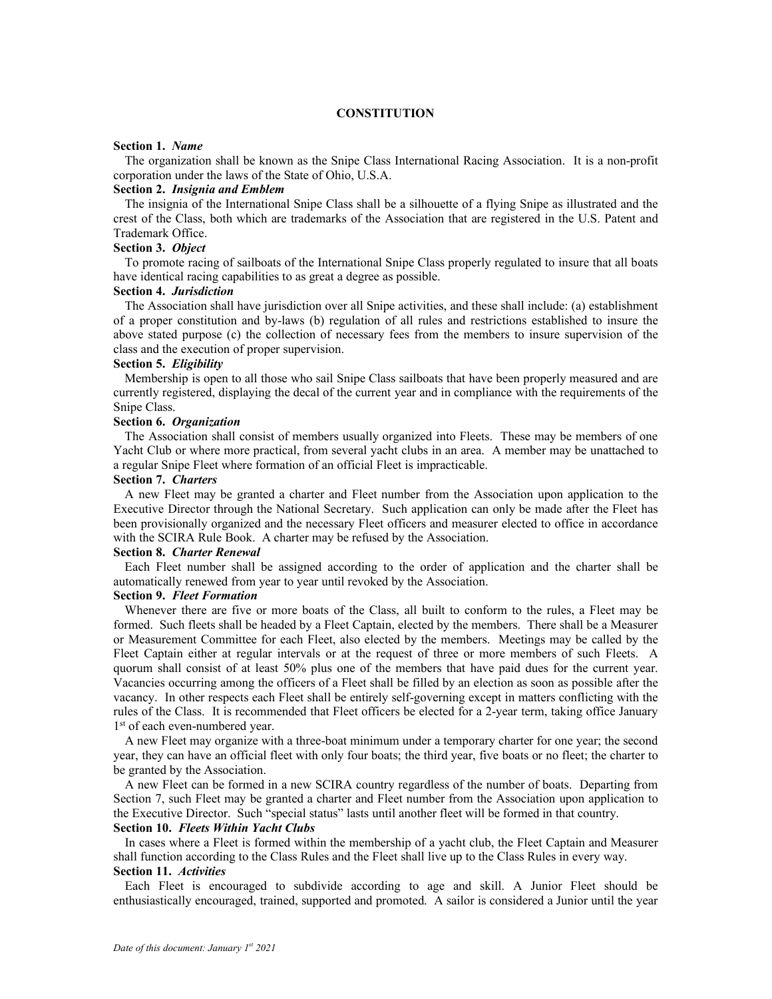### **CONSTITUTION**

#### **Section 1.** *Name*

The organization shall be known as the Snipe Class International Racing Association. It is a non-profit corporation under the laws of the State of Ohio, U.S.A.

#### **Section 2.** *Insignia and Emblem*

The insignia of the International Snipe Class shall be a silhouette of a flying Snipe as illustrated and the crest of the Class, both which are trademarks of the Association that are registered in the U.S. Patent and Trademark Office.

#### **Section 3.** *Object*

To promote racing of sailboats of the International Snipe Class properly regulated to insure that all boats have identical racing capabilities to as great a degree as possible.

## **Section 4.** *Jurisdiction*

The Association shall have jurisdiction over all Snipe activities, and these shall include: (a) establishment of a proper constitution and by-laws (b) regulation of all rules and restrictions established to insure the above stated purpose (c) the collection of necessary fees from the members to insure supervision of the class and the execution of proper supervision.

### **Section 5.** *Eligibility*

Membership is open to all those who sail Snipe Class sailboats that have been properly measured and are currently registered, displaying the decal of the current year and in compliance with the requirements of the Snipe Class.

### **Section 6.** *Organization*

The Association shall consist of members usually organized into Fleets. These may be members of one Yacht Club or where more practical, from several yacht clubs in an area. A member may be unattached to a regular Snipe Fleet where formation of an official Fleet is impracticable.

## **Section 7.** *Charters*

A new Fleet may be granted a charter and Fleet number from the Association upon application to the Executive Director through the National Secretary. Such application can only be made after the Fleet has been provisionally organized and the necessary Fleet officers and measurer elected to office in accordance with the SCIRA Rule Book. A charter may be refused by the Association.

#### **Section 8.** *Charter Renewal*

Each Fleet number shall be assigned according to the order of application and the charter shall be automatically renewed from year to year until revoked by the Association.

## **Section 9.** *Fleet Formation*

Whenever there are five or more boats of the Class, all built to conform to the rules, a Fleet may be formed. Such fleets shall be headed by a Fleet Captain, elected by the members. There shall be a Measurer or Measurement Committee for each Fleet, also elected by the members. Meetings may be called by the Fleet Captain either at regular intervals or at the request of three or more members of such Fleets. A quorum shall consist of at least 50% plus one of the members that have paid dues for the current year. Vacancies occurring among the officers of a Fleet shall be filled by an election as soon as possible after the vacancy. In other respects each Fleet shall be entirely self-governing except in matters conflicting with the rules of the Class. It is recommended that Fleet officers be elected for a 2-year term, taking office January 1<sup>st</sup> of each even-numbered year.

A new Fleet may organize with a three-boat minimum under a temporary charter for one year; the second year, they can have an official fleet with only four boats; the third year, five boats or no fleet; the charter to be granted by the Association.

A new Fleet can be formed in a new SCIRA country regardless of the number of boats. Departing from Section 7, such Fleet may be granted a charter and Fleet number from the Association upon application to the Executive Director. Such "special status" lasts until another fleet will be formed in that country.

# **Section 10.** *Fleets Within Yacht Clubs*

In cases where a Fleet is formed within the membership of a yacht club, the Fleet Captain and Measurer shall function according to the Class Rules and the Fleet shall live up to the Class Rules in every way.

#### **Section 11.** *Activities*

Each Fleet is encouraged to subdivide according to age and skill. A Junior Fleet should be enthusiastically encouraged, trained, supported and promoted. A sailor is considered a Junior until the year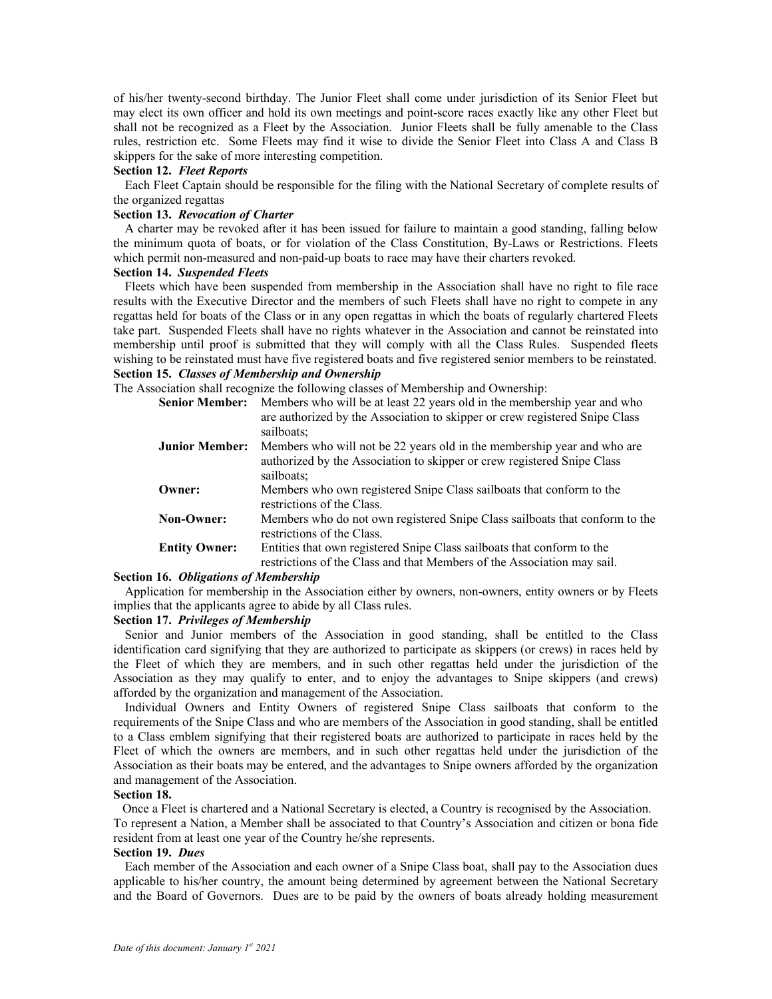of his/her twenty-second birthday. The Junior Fleet shall come under jurisdiction of its Senior Fleet but may elect its own officer and hold its own meetings and point-score races exactly like any other Fleet but shall not be recognized as a Fleet by the Association. Junior Fleets shall be fully amenable to the Class rules, restriction etc. Some Fleets may find it wise to divide the Senior Fleet into Class A and Class B skippers for the sake of more interesting competition.

### **Section 12.** *Fleet Reports*

Each Fleet Captain should be responsible for the filing with the National Secretary of complete results of the organized regattas

## **Section 13.** *Revocation of Charter*

A charter may be revoked after it has been issued for failure to maintain a good standing, falling below the minimum quota of boats, or for violation of the Class Constitution, By-Laws or Restrictions. Fleets which permit non-measured and non-paid-up boats to race may have their charters revoked.

## **Section 14.** *Suspended Fleets*

Fleets which have been suspended from membership in the Association shall have no right to file race results with the Executive Director and the members of such Fleets shall have no right to compete in any regattas held for boats of the Class or in any open regattas in which the boats of regularly chartered Fleets take part. Suspended Fleets shall have no rights whatever in the Association and cannot be reinstated into membership until proof is submitted that they will comply with all the Class Rules. Suspended fleets wishing to be reinstated must have five registered boats and five registered senior members to be reinstated. **Section 15.** *Classes of Membership and Ownership*

The Association shall recognize the following classes of Membership and Ownership:

| <b>Senior Member:</b> | Members who will be at least 22 years old in the membership year and who<br>are authorized by the Association to skipper or crew registered Snipe Class<br>sailboats: |
|-----------------------|-----------------------------------------------------------------------------------------------------------------------------------------------------------------------|
| <b>Junior Member:</b> | Members who will not be 22 years old in the membership year and who are<br>authorized by the Association to skipper or crew registered Snipe Class<br>sailboats;      |
| Owner:                | Members who own registered Snipe Class sailboats that conform to the<br>restrictions of the Class.                                                                    |
| <b>Non-Owner:</b>     | Members who do not own registered Snipe Class sailboats that conform to the<br>restrictions of the Class.                                                             |
| <b>Entity Owner:</b>  | Entities that own registered Snipe Class sailboats that conform to the<br>restrictions of the Class and that Members of the Association may sail.                     |

#### **Section 16.** *Obligations of Membership*

Application for membership in the Association either by owners, non-owners, entity owners or by Fleets implies that the applicants agree to abide by all Class rules.

### **Section 17.** *Privileges of Membership*

Senior and Junior members of the Association in good standing, shall be entitled to the Class identification card signifying that they are authorized to participate as skippers (or crews) in races held by the Fleet of which they are members, and in such other regattas held under the jurisdiction of the Association as they may qualify to enter, and to enjoy the advantages to Snipe skippers (and crews) afforded by the organization and management of the Association.

Individual Owners and Entity Owners of registered Snipe Class sailboats that conform to the requirements of the Snipe Class and who are members of the Association in good standing, shall be entitled to a Class emblem signifying that their registered boats are authorized to participate in races held by the Fleet of which the owners are members, and in such other regattas held under the jurisdiction of the Association as their boats may be entered, and the advantages to Snipe owners afforded by the organization and management of the Association.

#### **Section 18.**

Once a Fleet is chartered and a National Secretary is elected, a Country is recognised by the Association. To represent a Nation, a Member shall be associated to that Country's Association and citizen or bona fide resident from at least one year of the Country he/she represents.

### **Section 19.** *Dues*

Each member of the Association and each owner of a Snipe Class boat, shall pay to the Association dues applicable to his/her country, the amount being determined by agreement between the National Secretary and the Board of Governors. Dues are to be paid by the owners of boats already holding measurement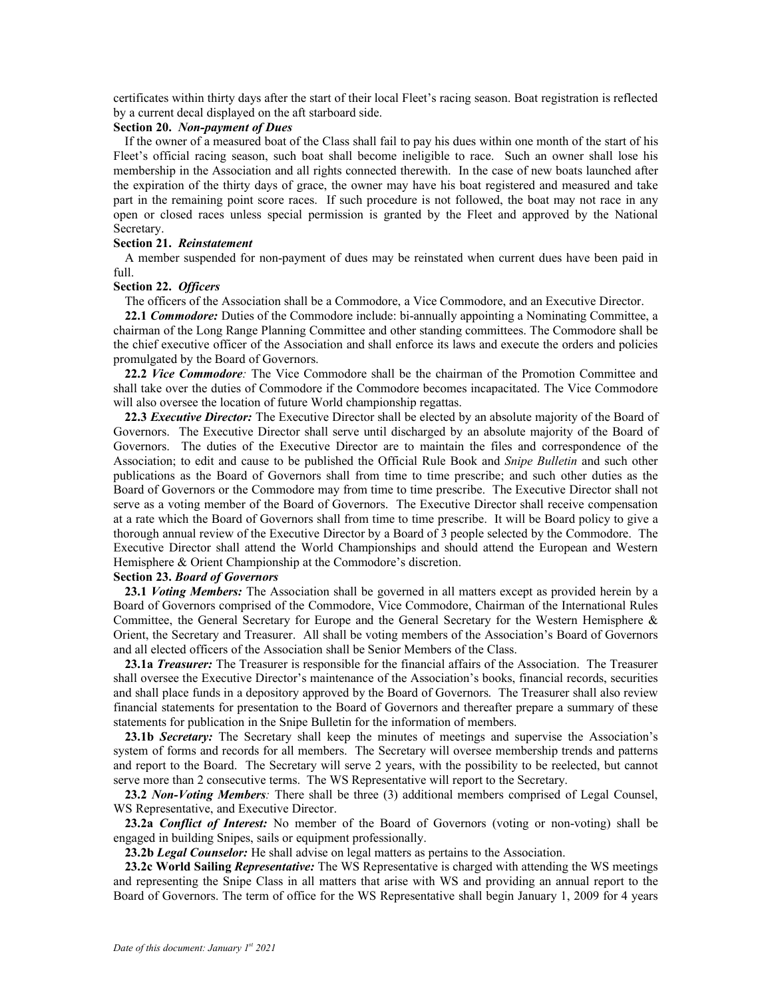certificates within thirty days after the start of their local Fleet's racing season. Boat registration is reflected by a current decal displayed on the aft starboard side.

### **Section 20.** *Non-payment of Dues*

If the owner of a measured boat of the Class shall fail to pay his dues within one month of the start of his Fleet's official racing season, such boat shall become ineligible to race. Such an owner shall lose his membership in the Association and all rights connected therewith. In the case of new boats launched after the expiration of the thirty days of grace, the owner may have his boat registered and measured and take part in the remaining point score races. If such procedure is not followed, the boat may not race in any open or closed races unless special permission is granted by the Fleet and approved by the National Secretary.

### **Section 21.** *Reinstatement*

A member suspended for non-payment of dues may be reinstated when current dues have been paid in full.

#### **Section 22.** *Officers*

The officers of the Association shall be a Commodore, a Vice Commodore, and an Executive Director.

**22.1** *Commodore:* Duties of the Commodore include: bi-annually appointing a Nominating Committee, a chairman of the Long Range Planning Committee and other standing committees. The Commodore shall be the chief executive officer of the Association and shall enforce its laws and execute the orders and policies promulgated by the Board of Governors.

**22.2** *Vice Commodore:* The Vice Commodore shall be the chairman of the Promotion Committee and shall take over the duties of Commodore if the Commodore becomes incapacitated. The Vice Commodore will also oversee the location of future World championship regattas.

**22.3** *Executive Director:* The Executive Director shall be elected by an absolute majority of the Board of Governors. The Executive Director shall serve until discharged by an absolute majority of the Board of Governors. The duties of the Executive Director are to maintain the files and correspondence of the Association; to edit and cause to be published the Official Rule Book and *Snipe Bulletin* and such other publications as the Board of Governors shall from time to time prescribe; and such other duties as the Board of Governors or the Commodore may from time to time prescribe. The Executive Director shall not serve as a voting member of the Board of Governors. The Executive Director shall receive compensation at a rate which the Board of Governors shall from time to time prescribe. It will be Board policy to give a thorough annual review of the Executive Director by a Board of 3 people selected by the Commodore. The Executive Director shall attend the World Championships and should attend the European and Western Hemisphere & Orient Championship at the Commodore's discretion.

## **Section 23.** *Board of Governors*

**23.1** *Voting Members:* The Association shall be governed in all matters except as provided herein by a Board of Governors comprised of the Commodore, Vice Commodore, Chairman of the International Rules Committee, the General Secretary for Europe and the General Secretary for the Western Hemisphere & Orient, the Secretary and Treasurer. All shall be voting members of the Association's Board of Governors and all elected officers of the Association shall be Senior Members of the Class.

**23.1a** *Treasurer:* The Treasurer is responsible for the financial affairs of the Association. The Treasurer shall oversee the Executive Director's maintenance of the Association's books, financial records, securities and shall place funds in a depository approved by the Board of Governors. The Treasurer shall also review financial statements for presentation to the Board of Governors and thereafter prepare a summary of these statements for publication in the Snipe Bulletin for the information of members.

**23.1b** *Secretary:* The Secretary shall keep the minutes of meetings and supervise the Association's system of forms and records for all members. The Secretary will oversee membership trends and patterns and report to the Board. The Secretary will serve 2 years, with the possibility to be reelected, but cannot serve more than 2 consecutive terms. The WS Representative will report to the Secretary.

**23.2** *Non-Voting Members:* There shall be three (3) additional members comprised of Legal Counsel, WS Representative, and Executive Director.

**23.2a** *Conflict of Interest:* No member of the Board of Governors (voting or non-voting) shall be engaged in building Snipes, sails or equipment professionally.

**23.2b** *Legal Counselor:* He shall advise on legal matters as pertains to the Association.

**23.2c World Sailing** *Representative:* The WS Representative is charged with attending the WS meetings and representing the Snipe Class in all matters that arise with WS and providing an annual report to the Board of Governors. The term of office for the WS Representative shall begin January 1, 2009 for 4 years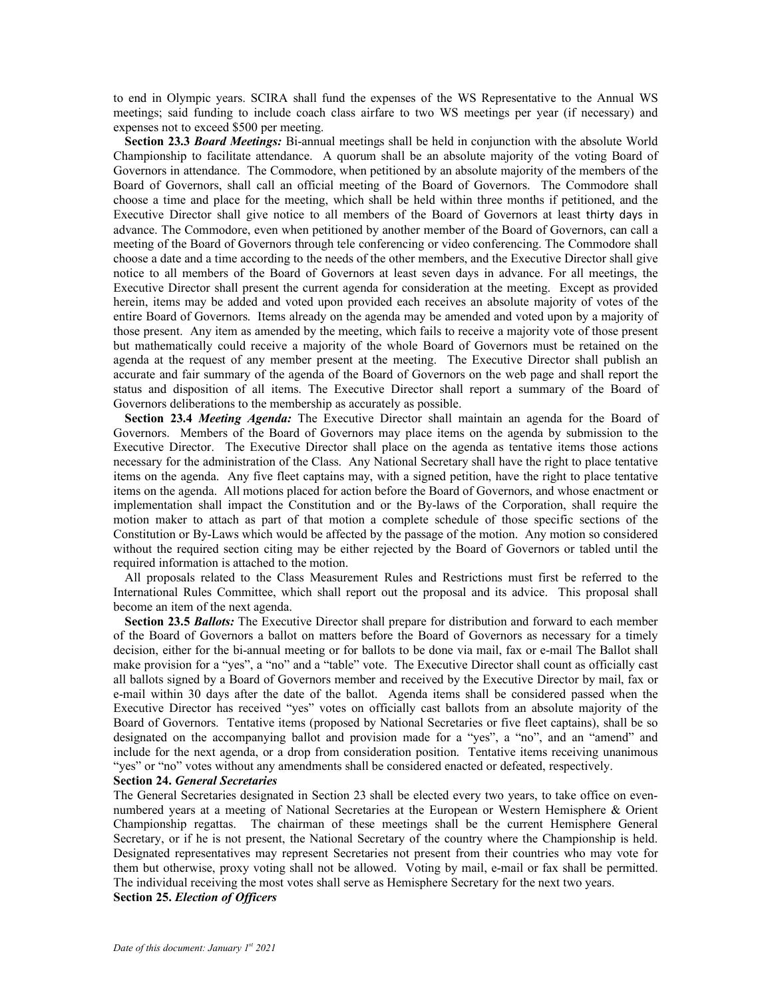to end in Olympic years. SCIRA shall fund the expenses of the WS Representative to the Annual WS meetings; said funding to include coach class airfare to two WS meetings per year (if necessary) and expenses not to exceed \$500 per meeting.

**Section 23.3** *Board Meetings:* Bi-annual meetings shall be held in conjunction with the absolute World Championship to facilitate attendance.A quorum shall be an absolute majority of the voting Board of Governors in attendance. The Commodore, when petitioned by an absolute majority of the members of the Board of Governors, shall call an official meeting of the Board of Governors. The Commodore shall choose a time and place for the meeting, which shall be held within three months if petitioned, and the Executive Director shall give notice to all members of the Board of Governors at least thirty days in advance. The Commodore, even when petitioned by another member of the Board of Governors, can call a meeting of the Board of Governors through tele conferencing or video conferencing. The Commodore shall choose a date and a time according to the needs of the other members, and the Executive Director shall give notice to all members of the Board of Governors at least seven days in advance. For all meetings, the Executive Director shall present the current agenda for consideration at the meeting. Except as provided herein, items may be added and voted upon provided each receives an absolute majority of votes of the entire Board of Governors. Items already on the agenda may be amended and voted upon by a majority of those present. Any item as amended by the meeting, which fails to receive a majority vote of those present but mathematically could receive a majority of the whole Board of Governors must be retained on the agenda at the request of any member present at the meeting. The Executive Director shall publish an accurate and fair summary of the agenda of the Board of Governors on the web page and shall report the status and disposition of all items. The Executive Director shall report a summary of the Board of Governors deliberations to the membership as accurately as possible.

**Section 23.4** *Meeting Agenda:* The Executive Director shall maintain an agenda for the Board of Governors. Members of the Board of Governors may place items on the agenda by submission to the Executive Director. The Executive Director shall place on the agenda as tentative items those actions necessary for the administration of the Class. Any National Secretary shall have the right to place tentative items on the agenda. Any five fleet captains may, with a signed petition, have the right to place tentative items on the agenda. All motions placed for action before the Board of Governors, and whose enactment or implementation shall impact the Constitution and or the By-laws of the Corporation, shall require the motion maker to attach as part of that motion a complete schedule of those specific sections of the Constitution or By-Laws which would be affected by the passage of the motion. Any motion so considered without the required section citing may be either rejected by the Board of Governors or tabled until the required information is attached to the motion.

All proposals related to the Class Measurement Rules and Restrictions must first be referred to the International Rules Committee, which shall report out the proposal and its advice. This proposal shall become an item of the next agenda.

**Section 23.5** *Ballots:* The Executive Director shall prepare for distribution and forward to each member of the Board of Governors a ballot on matters before the Board of Governors as necessary for a timely decision, either for the bi-annual meeting or for ballots to be done via mail, fax or e-mail The Ballot shall make provision for a "yes", a "no" and a "table" vote. The Executive Director shall count as officially cast all ballots signed by a Board of Governors member and received by the Executive Director by mail, fax or e-mail within 30 days after the date of the ballot. Agenda items shall be considered passed when the Executive Director has received "yes" votes on officially cast ballots from an absolute majority of the Board of Governors. Tentative items (proposed by National Secretaries or five fleet captains), shall be so designated on the accompanying ballot and provision made for a "yes", a "no", and an "amend" and include for the next agenda, or a drop from consideration position. Tentative items receiving unanimous "yes" or "no" votes without any amendments shall be considered enacted or defeated, respectively.

#### **Section 24.** *General Secretaries*

The General Secretaries designated in Section 23 shall be elected every two years, to take office on evennumbered years at a meeting of National Secretaries at the European or Western Hemisphere & Orient Championship regattas. The chairman of these meetings shall be the current Hemisphere General Secretary, or if he is not present, the National Secretary of the country where the Championship is held. Designated representatives may represent Secretaries not present from their countries who may vote for them but otherwise, proxy voting shall not be allowed. Voting by mail, e-mail or fax shall be permitted. The individual receiving the most votes shall serve as Hemisphere Secretary for the next two years. **Section 25.** *Election of Officers*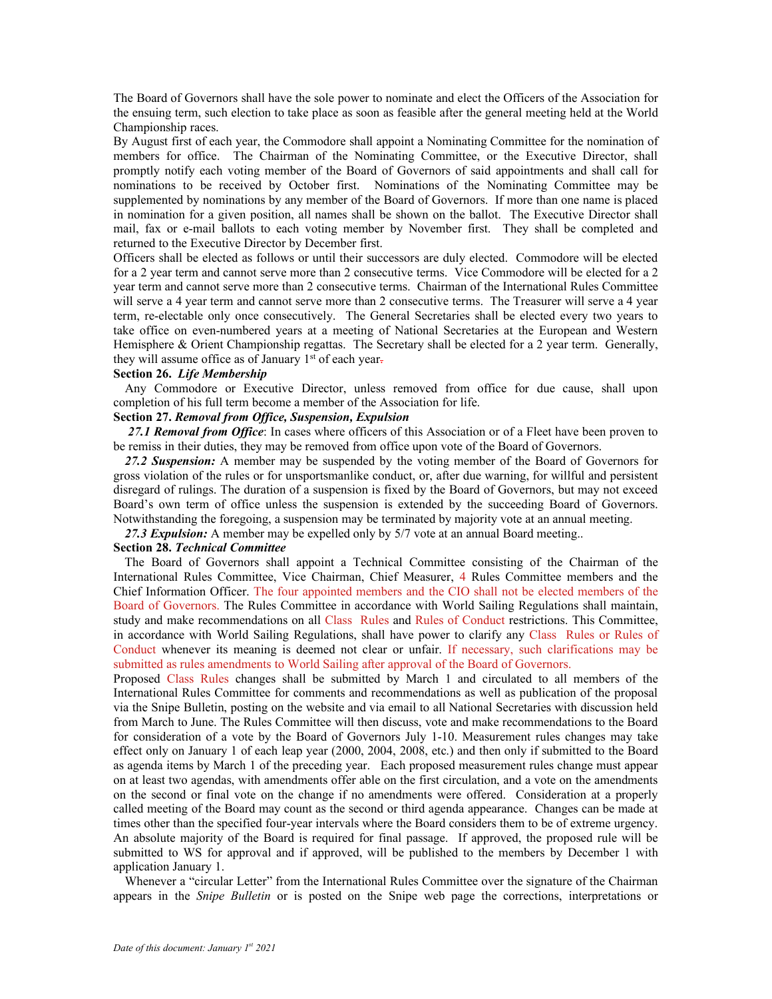The Board of Governors shall have the sole power to nominate and elect the Officers of the Association for the ensuing term, such election to take place as soon as feasible after the general meeting held at the World Championship races.

By August first of each year, the Commodore shall appoint a Nominating Committee for the nomination of members for office. The Chairman of the Nominating Committee, or the Executive Director, shall promptly notify each voting member of the Board of Governors of said appointments and shall call for nominations to be received by October first. Nominations of the Nominating Committee may be supplemented by nominations by any member of the Board of Governors. If more than one name is placed in nomination for a given position, all names shall be shown on the ballot. The Executive Director shall mail, fax or e-mail ballots to each voting member by November first. They shall be completed and returned to the Executive Director by December first.

Officers shall be elected as follows or until their successors are duly elected. Commodore will be elected for a 2 year term and cannot serve more than 2 consecutive terms. Vice Commodore will be elected for a 2 year term and cannot serve more than 2 consecutive terms. Chairman of the International Rules Committee will serve a 4 year term and cannot serve more than 2 consecutive terms. The Treasurer will serve a 4 year term, re-electable only once consecutively. The General Secretaries shall be elected every two years to take office on even-numbered years at a meeting of National Secretaries at the European and Western Hemisphere & Orient Championship regattas. The Secretary shall be elected for a 2 year term. Generally, they will assume office as of January 1<sup>st</sup> of each year-

### **Section 26.** *Life Membership*

Any Commodore or Executive Director, unless removed from office for due cause, shall upon completion of his full term become a member of the Association for life.

## **Section 27.** *Removal from Office, Suspension, Expulsion*

*27.1 Removal from Office*: In cases where officers of this Association or of a Fleet have been proven to be remiss in their duties, they may be removed from office upon vote of the Board of Governors.

27.2 Suspension: A member may be suspended by the voting member of the Board of Governors for gross violation of the rules or for unsportsmanlike conduct, or, after due warning, for willful and persistent disregard of rulings. The duration of a suspension is fixed by the Board of Governors, but may not exceed Board's own term of office unless the suspension is extended by the succeeding Board of Governors. Notwithstanding the foregoing, a suspension may be terminated by majority vote at an annual meeting.

27.3 Expulsion: A member may be expelled only by 5/7 vote at an annual Board meeting..

### **Section 28.** *Technical Committee*

The Board of Governors shall appoint a Technical Committee consisting of the Chairman of the International Rules Committee, Vice Chairman, Chief Measurer, 4 Rules Committee members and the Chief Information Officer. The four appointed members and the CIO shall not be elected members of the Board of Governors. The Rules Committee in accordance with World Sailing Regulations shall maintain, study and make recommendations on all Class Rules and Rules of Conduct restrictions. This Committee, in accordance with World Sailing Regulations, shall have power to clarify any Class Rules or Rules of Conduct whenever its meaning is deemed not clear or unfair. If necessary, such clarifications may be submitted as rules amendments to World Sailing after approval of the Board of Governors.

Proposed Class Rules changes shall be submitted by March 1 and circulated to all members of the International Rules Committee for comments and recommendations as well as publication of the proposal via the Snipe Bulletin, posting on the website and via email to all National Secretaries with discussion held from March to June. The Rules Committee will then discuss, vote and make recommendations to the Board for consideration of a vote by the Board of Governors July 1-10. Measurement rules changes may take effect only on January 1 of each leap year (2000, 2004, 2008, etc.) and then only if submitted to the Board as agenda items by March 1 of the preceding year. Each proposed measurement rules change must appear on at least two agendas, with amendments offer able on the first circulation, and a vote on the amendments on the second or final vote on the change if no amendments were offered. Consideration at a properly called meeting of the Board may count as the second or third agenda appearance. Changes can be made at times other than the specified four-year intervals where the Board considers them to be of extreme urgency. An absolute majority of the Board is required for final passage. If approved, the proposed rule will be submitted to WS for approval and if approved, will be published to the members by December 1 with application January 1.

Whenever a "circular Letter" from the International Rules Committee over the signature of the Chairman appears in the *Snipe Bulletin* or is posted on the Snipe web page the corrections, interpretations or